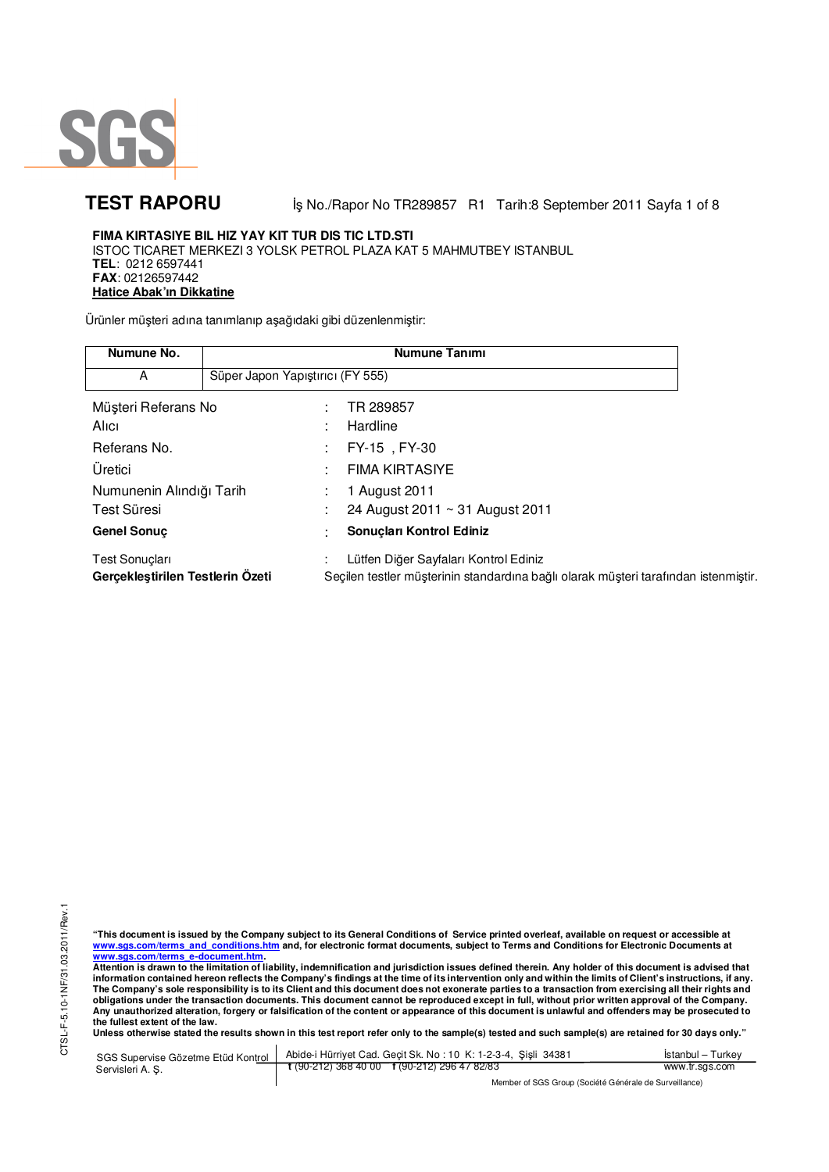

**TEST RAPORU** iş No./Rapor No TR289857 R1 Tarih:8 September 2011 Sayfa 1 of 8

## **FIMA KIRTASIYE BIL HIZ YAY KIT TUR DIS TIC LTD.STI**  ISTOC TICARET MERKEZI 3 YOLSK PETROL PLAZA KAT 5 MAHMUTBEY ISTANBUL **TEL**: 0212 6597441 **FAX**: 02126597442 **Hatice Abak'ın Dikkatine**

Ürünler müşteri adına tanımlanıp aşağıdaki gibi düzenlenmiştir:

| Numune No.                                                |                                  | <b>Numune Tanımı</b>                                                                                                         |
|-----------------------------------------------------------|----------------------------------|------------------------------------------------------------------------------------------------------------------------------|
| А                                                         | Süper Japon Yapıştırıcı (FY 555) |                                                                                                                              |
| Müşteri Referans No                                       |                                  | TR 289857                                                                                                                    |
| Alici                                                     |                                  | Hardline                                                                                                                     |
| Referans No.                                              |                                  | FY-15, FY-30<br>÷                                                                                                            |
| Üretici                                                   |                                  | <b>FIMA KIRTASIYE</b>                                                                                                        |
| Numunenin Alındığı Tarih                                  |                                  | 1 August 2011                                                                                                                |
| Test Süresi                                               |                                  | 24 August 2011 ~ 31 August 2011                                                                                              |
| <b>Genel Sonuc</b>                                        |                                  | Sonuçları Kontrol Ediniz                                                                                                     |
| <b>Test Sonuçları</b><br>Gercekleştirilen Testlerin Özeti |                                  | Lütfen Diğer Sayfaları Kontrol Ediniz<br>Seçilen testler müşterinin standardına bağlı olarak müşteri tarafından istenmiştir. |

"This document is issued by the Company subject to its General Conditions of Service printed overleaf, available on request or accessible at<br>www.sgs.com/terms\_and\_conditions.htm\_and, for electronic format documents, subjec <mark>www.sgs.com/terms\_e-document.htm.</mark><br>Attention is drawn to the limitation of liability, indemnification and jurisdiction issues defined therein. Any holder of this document is advised that

information contained hereon reflects the Company's findings at the time of its intervention only and within the limits of Client's instructions, if any.<br>The Company's sole responsibility is to its Client and this document **obligations under the transaction documents. This document cannot be reproduced except in full, without prior written approval of the Company. Any unauthorized alteration, forgery or falsification of the content or appearance of this document is unlawful and offenders may be prosecuted to the fullest extent of the law.** 

**Unless otherwise stated the results shown in this test report refer only to the sample(s) tested and such sample(s) are retained for 30 days only."** 

SGS Supervise Gözetme Etüd Kontrol Servisleri A. Ş. Abide-i Hürriyet Cad. Geçit Sk. No : 10 K: 1-2-3-4, Şişli 34381 **t** (90-212) 368 40 00 **f** (90-212) 296 47 82/83 İstanbul – Turkey www.tr.sgs.com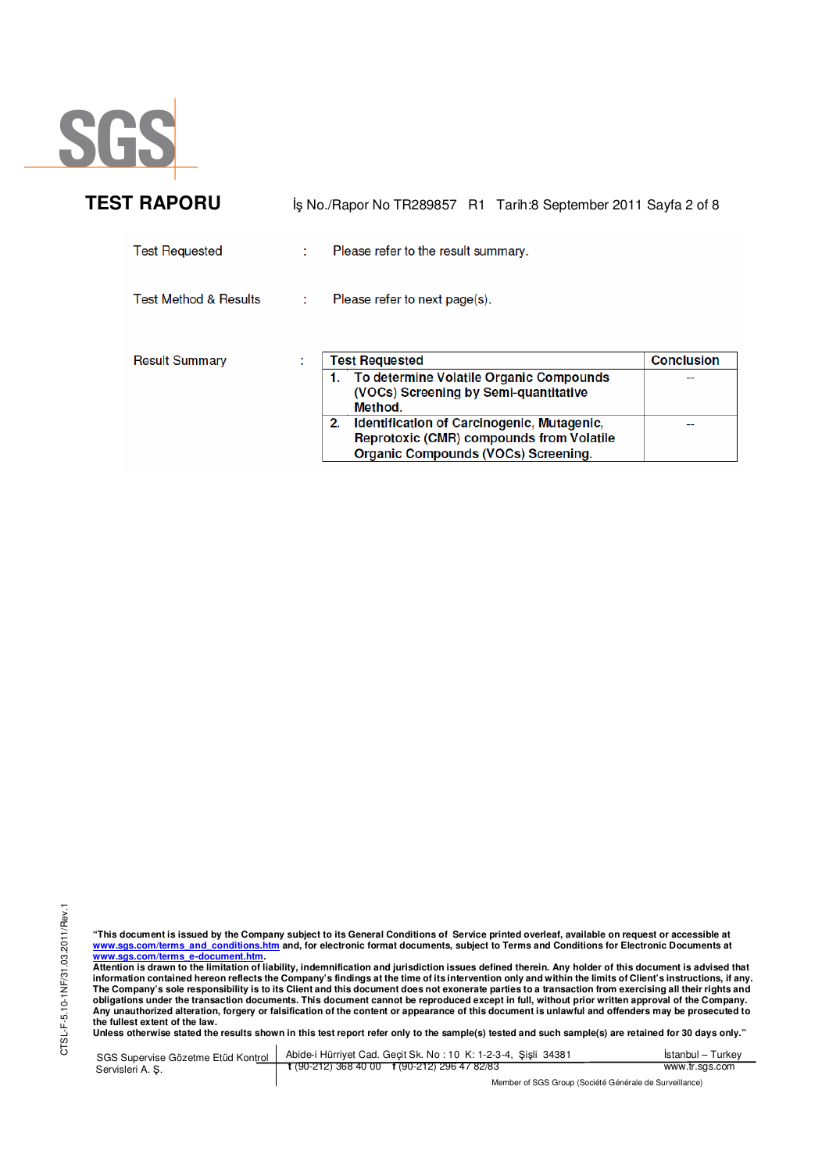

| <b>TEST RAPORU</b>               | İş No./Rapor No TR289857 R1 Tarih:8 September 2011 Sayfa 2 of 8                                                                                                                                                                                                              |                   |
|----------------------------------|------------------------------------------------------------------------------------------------------------------------------------------------------------------------------------------------------------------------------------------------------------------------------|-------------------|
| <b>Test Requested</b>            | Please refer to the result summary.                                                                                                                                                                                                                                          |                   |
| <b>Test Method &amp; Results</b> | Please refer to next page(s).                                                                                                                                                                                                                                                |                   |
| <b>Result Summary</b>            | <b>Test Requested</b><br>1. To determine Volatile Organic Compounds<br>(VOCs) Screening by Semi-quantitative<br>Method.<br>Identification of Carcinogenic, Mutagenic,<br>2.<br><b>Reprotoxic (CMR) compounds from Volatile</b><br><b>Organic Compounds (VOCs) Screening.</b> | <b>Conclusion</b> |

<u>www.sgs.com/terms\_e-document.htm.</u><br>Attention is drawn to the limitation of liability, indemnification and jurisdiction issues defined therein. Any holder of this document is advised that<br>information contained hereon refle **obligations under the transaction documents. This document cannot be reproduced except in full, without prior written approval of the Company. Any unauthorized alteration, forgery or falsification of the content or appearance of this document is unlawful and offenders may be prosecuted to the fullest extent of the law.** 

**Unless otherwise stated the results shown in this test report refer only to the sample(s) tested and such sample(s) are retained for 30 days only."** 

SGS Supervise Gözetme Etüd Kontrol Servisleri A. Ş. Abide-i Hürriyet Cad. Geçit Sk. No : 10 K: 1-2-3-4, Şişli 34381 **t** (90-212) 368 40 00 **f** (90-212) 296 47 82/83 İstanbul – Turkey www.tr.sgs.com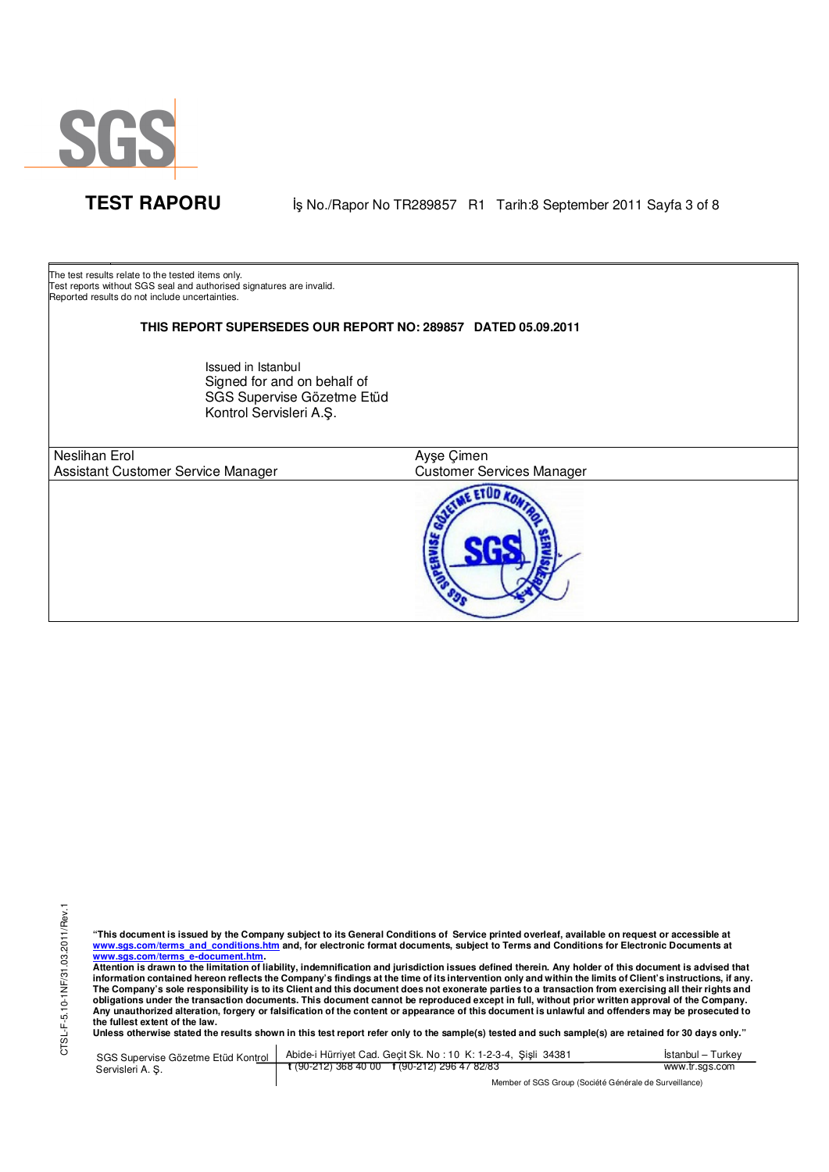

**TEST RAPORU** iş No./Rapor No TR289857 R1 Tarih:8 September 2011 Sayfa 3 of 8

The test results relate to the tested items only. Test reports without SGS seal and authorised signatures are invalid. Reported results do not include uncertainties.

## **THIS REPORT SUPERSEDES OUR REPORT NO: 289857 DATED 05.09.2011**

Issued in Istanbul Signed for and on behalf of SGS Supervise Gözetme Etüd Kontrol Servisleri A.Ş.

Neslihan Erol Assistant Customer Service Manager

 $\overline{a}$ 

E ETUD KO

Customer Services Manager

Ayşe Çimen

"This document is issued by the Company subject to its General Conditions of Service printed overleaf, available on request or accessible at<br>www.sgs.com/terms\_and\_conditions.htm\_and, for electronic format documents, subjec <mark>www.sgs.com/terms\_e-document.htm.</mark><br>Attention is drawn to the limitation of liability, indemnification and jurisdiction issues defined therein. Any holder of this document is advised that

information contained hereon reflects the Company's findings at the time of its intervention only and within the limits of Client's instructions, if any.<br>The Company's sole responsibility is to its Client and this document **obligations under the transaction documents. This document cannot be reproduced except in full, without prior written approval of the Company. Any unauthorized alteration, forgery or falsification of the content or appearance of this document is unlawful and offenders may be prosecuted to the fullest extent of the law.** 

**Unless otherwise stated the results shown in this test report refer only to the sample(s) tested and such sample(s) are retained for 30 days only."** 

SGS Supervise Gözetme Etüd Kontrol Servisleri A. Ş. Abide-i Hürriyet Cad. Geçit Sk. No : 10 K: 1-2-3-4, Şişli 34381 **t** (90-212) 368 40 00 **f** (90-212) 296 47 82/83 İstanbul – Turkey www.tr.sgs.com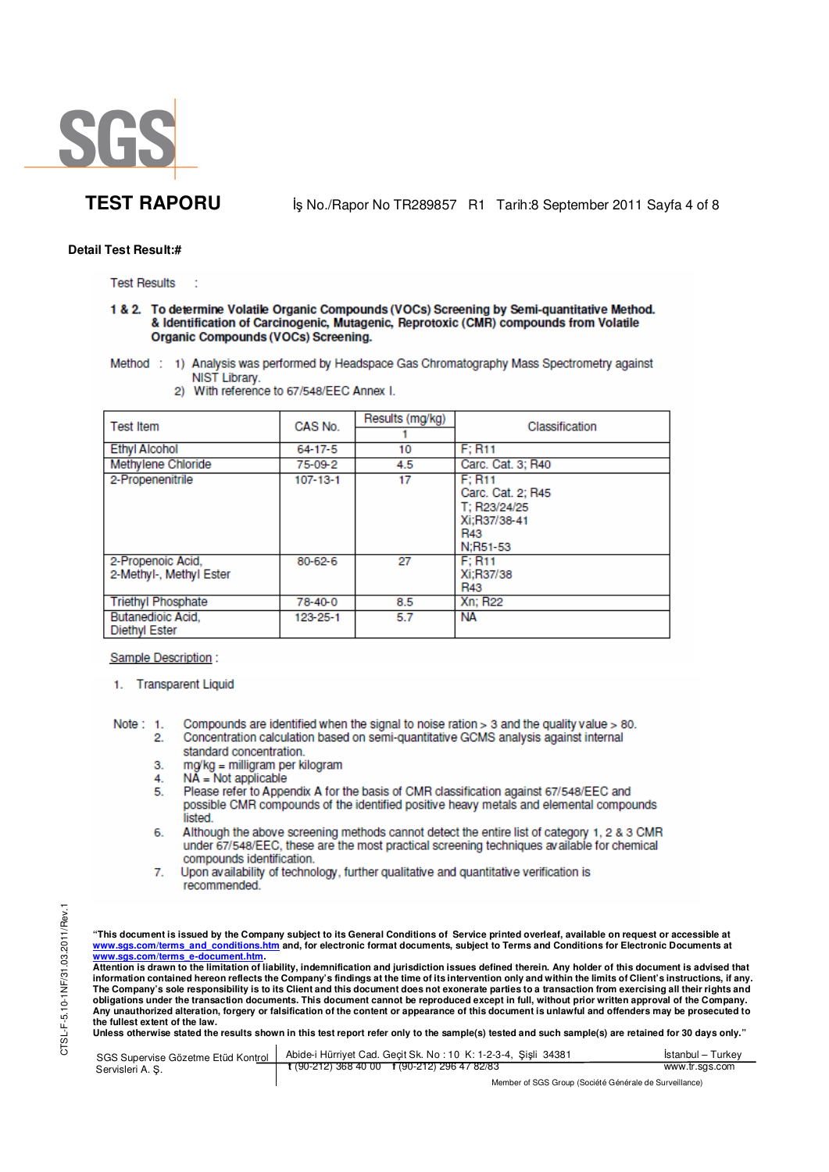

**TEST RAPORU** iş No./Rapor No TR289857 R1 Tarih:8 September 2011 Sayfa 4 of 8

## **Detail Test Result:#**

**Test Results** 

1 & 2. To determine Volatile Organic Compounds (VOCs) Screening by Semi-quantitative Method. & Identification of Carcinogenic, Mutagenic, Reprotoxic (CMR) compounds from Volatile **Organic Compounds (VOCs) Screening.** 

- Method : 1) Analysis was performed by Headspace Gas Chromatography Mass Spectrometry against NIST Library.
	- $\mathbf{2}$ With reference to 67/548/EEC Annex I.

| <b>Test Item</b>                                 | CAS No.        | Results (mg/kg) | Classification                                                                 |  |
|--------------------------------------------------|----------------|-----------------|--------------------------------------------------------------------------------|--|
| <b>Ethvl Alcohol</b>                             | $64 - 17 - 5$  | 10              | F: R11                                                                         |  |
| Methylene Chloride                               | 75-09-2        | 4.5             | Carc. Cat. 3; R40                                                              |  |
| 2-Propenenitrile                                 | $107 - 13 - 1$ | 17              | F: R11<br>Carc. Cat. 2: R45<br>T: R23/24/25<br>Xi:R37/38-41<br>R43<br>N:R51-53 |  |
| 2-Propenoic Acid.<br>2-Methyl-, Methyl Ester     | 80-62-6        | 27              | F: R11<br>Xi:R37/38<br>R43                                                     |  |
| <b>Triethyl Phosphate</b>                        | 78-40-0        | 8.5             | <b>Xn: R22</b>                                                                 |  |
| <b>Butanedioic Acid.</b><br><b>Diethyl Ester</b> | 123-25-1       | 5.7             | NА                                                                             |  |

Sample Description:

- 1. Transparent Liquid
- Note:  $1$ . Compounds are identified when the signal to noise ration > 3 and the quality value > 80. Concentration calculation based on semi-quantitative GCMS analysis against internal  $\mathbf{2}$ 
	- standard concentration.
	- mg/kg = milligram per kilogram 3.
	- $N\tilde{A}$  = Not applicable 4.
	- Please refer to Appendix A for the basis of CMR classification against 67/548/EEC and 5. possible CMR compounds of the identified positive heavy metals and elemental compounds listed.
	- Although the above screening methods cannot detect the entire list of category 1, 2 & 3 CMR 6. under 67/548/EEC, these are the most practical screening techniques available for chemical compounds identification.
	- Upon availability of technology, further qualitative and quantitative verification is  $\overline{7}$ . recommended.

"This document is issued by the Company subject to its General Conditions of Service printed overleaf, available on request or accessible at<br>www.sgs.com/terms\_and\_conditions.htm\_and, for electronic format documents, subjec

<mark>www.sgs.com/terms\_e-document.htm.</mark><br>Attention is drawn to the limitation of liability, indemnification and jurisdiction issues defined therein. Any holder of this document is advised that information contained hereon reflects the Company's findings at the time of its intervention only and within the limits of Client's instructions, if any.<br>The Company's sole responsibility is to its Client and this document **obligations under the transaction documents. This document cannot be reproduced except in full, without prior written approval of the Company. Any unauthorized alteration, forgery or falsification of the content or appearance of this document is unlawful and offenders may be prosecuted to the fullest extent of the law.** 

Unless otherwise stated the results shown in this test report refer only to the sample(s) tested and such sample(s) are retained for 30 days only."

| SGS Supervise Gözetme Etüd Kontrol | Abide-i Hürriyet Cad. Geçit Sk. No: 10 K: 1-2-3-4, Şişli 34381 | Istanbul – Turkev |
|------------------------------------|----------------------------------------------------------------|-------------------|
| Servisleri A.S.                    | t (90-212) 368 40 00 f (90-212) 296 47 82/83                   | www.tr.sgs.com    |
|                                    | Mambau of POP Ourine (Panilité O futuris de Piunisillanes)     |                   |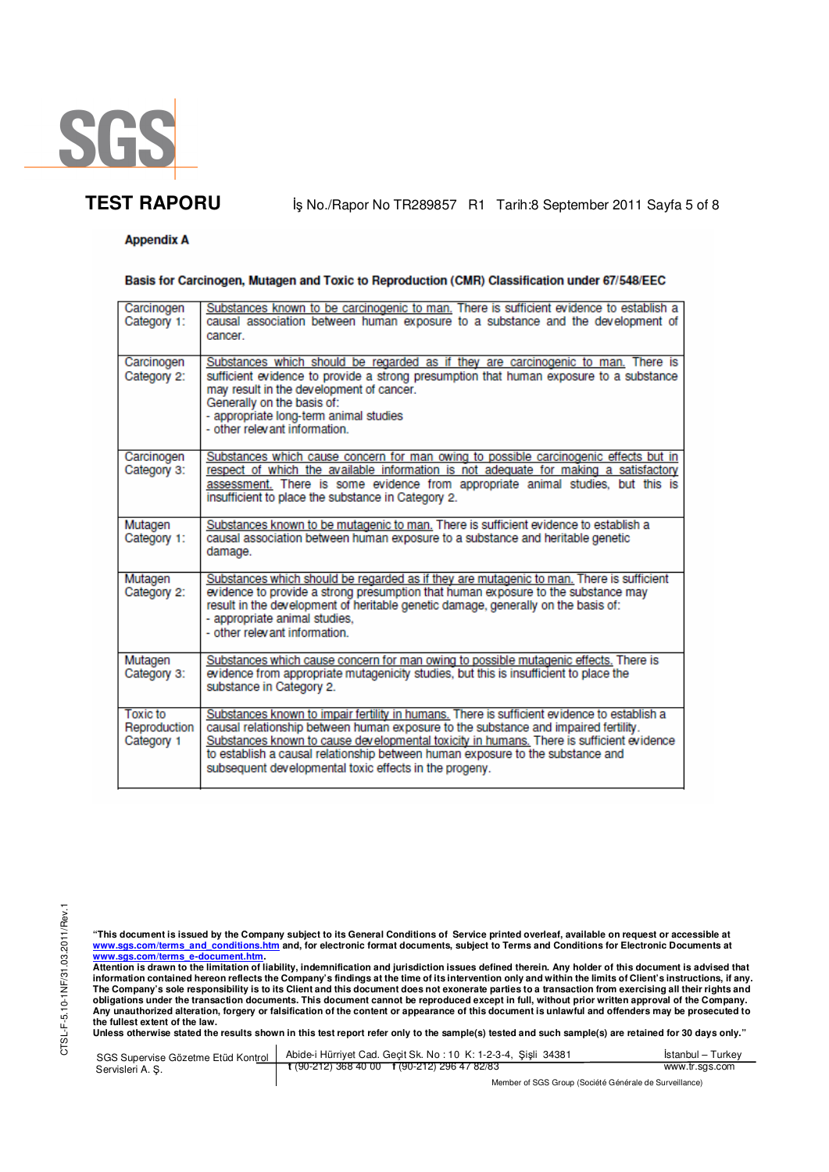

**TEST RAPORU** iş No./Rapor No TR289857 R1 Tarih:8 September 2011 Sayfa 5 of 8

# **Appendix A**

## Basis for Carcinogen, Mutagen and Toxic to Reproduction (CMR) Classification under 67/548/EEC

| Carcinogen<br>Category 1: | Substances known to be carcinogenic to man. There is sufficient evidence to establish a<br>causal association between human exposure to a substance and the development of         |
|---------------------------|------------------------------------------------------------------------------------------------------------------------------------------------------------------------------------|
|                           | cancer.                                                                                                                                                                            |
| Carcinogen<br>Category 2: | Substances which should be regarded as if they are carcinogenic to man. There is<br>sufficient evidence to provide a strong presumption that human exposure to a substance         |
|                           | may result in the development of cancer.<br>Generally on the basis of:                                                                                                             |
|                           | - appropriate long-term animal studies<br>- other relevant information.                                                                                                            |
|                           |                                                                                                                                                                                    |
| Carcinogen<br>Category 3: | Substances which cause concern for man owing to possible carcinogenic effects but in<br>respect of which the available information is not adequate for making a satisfactory       |
|                           | assessment. There is some evidence from appropriate animal studies, but this is<br>insufficient to place the substance in Category 2.                                              |
| Mutagen<br>Category 1:    | Substances known to be mutagenic to man. There is sufficient evidence to establish a<br>causal association between human exposure to a substance and heritable genetic             |
|                           | damage.                                                                                                                                                                            |
| Mutagen<br>Category 2:    | Substances which should be regarded as if they are mutagenic to man. There is sufficient<br>evidence to provide a strong presumption that human exposure to the substance may      |
|                           | result in the development of heritable genetic damage, generally on the basis of:<br>- appropriate animal studies,                                                                 |
|                           | - other relevant information.                                                                                                                                                      |
| Mutagen<br>Category 3:    | Substances which cause concern for man owing to possible mutagenic effects. There is<br>evidence from appropriate mutagenicity studies, but this is insufficient to place the      |
|                           | substance in Category 2.                                                                                                                                                           |
| Toxic to<br>Reproduction  | Substances known to impair fertility in humans. There is sufficient evidence to establish a<br>causal relationship between human exposure to the substance and impaired fertility. |
| Category 1                | Substances known to cause developmental toxicity in humans. There is sufficient evidence<br>to establish a causal relationship between human exposure to the substance and         |
|                           | subsequent developmental toxic effects in the progeny.                                                                                                                             |

"This document is issued by the Company subject to its General Conditions of Service printed overleaf, available on request or accessible at<br>www.sgs.com/terms\_and\_conditions.htm\_and, for electronic format documents, subjec

<u>www.sgs.com/terms\_e-document.htm.</u><br>Attention is drawn to the limitation of liability, indemnification and jurisdiction issues defined therein. Any holder of this document is advised that<br>information contained hereon refle obligations under the transaction documents. This document cannot be reproduced except in full, without prior written approval of the Company.<br>Any unauthorized alteration, forgery or falsification of the content or appeara

**Unless otherwise stated the results shown in this test report refer only to the sample(s) tested and such sample(s) are retained for 30 days only."** 

| SGS Supervise Gözetme Etüd Kontrol | Abide-i Hürriyet Cad. Gecit Sk. No: 10 K: 1-2-3-4, Sisli 34381 | Istanbul - Turkev |
|------------------------------------|----------------------------------------------------------------|-------------------|
| Servisleri A.S.                    | $\frac{1}{2}$ (90-212) 368 40 00 f (90-212) 296 47 82/83       | www.tr.sgs.com    |
|                                    | Member of SGS Group (Société Générale de Surveillance)         |                   |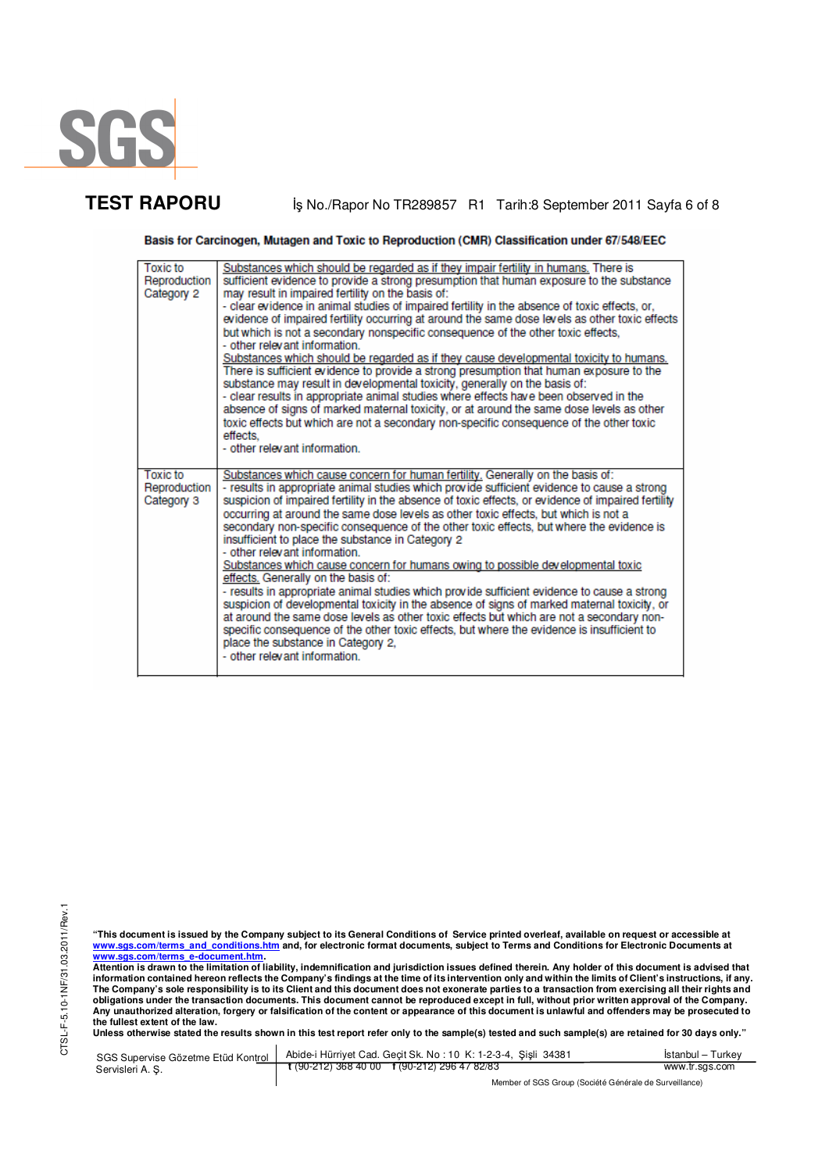

TEST RAPORU **By No./Rapor No TR289857 R1 Tarih:8 September 2011 Sayfa 6 of 8** 

Basis for Carcinogen, Mutagen and Toxic to Reproduction (CMR) Classification under 67/548/EEC

| <b>Toxic to</b><br>Reproduction<br>Category 2 | Substances which should be regarded as if they impair fertility in humans. There is<br>sufficient evidence to provide a strong presumption that human exposure to the substance<br>may result in impaired fertility on the basis of:<br>- clear evidence in animal studies of impaired fertility in the absence of toxic effects, or,<br>evidence of impaired fertility occurring at around the same dose levels as other toxic effects<br>but which is not a secondary nonspecific consequence of the other toxic effects,<br>- other relevant information.<br>Substances which should be regarded as if they cause developmental toxicity to humans.<br>There is sufficient evidence to provide a strong presumption that human exposure to the<br>substance may result in developmental toxicity, generally on the basis of:<br>- clear results in appropriate animal studies where effects have been observed in the<br>absence of signs of marked maternal toxicity, or at around the same dose levels as other<br>toxic effects but which are not a secondary non-specific consequence of the other toxic<br>effects.<br>- other relevant information. |
|-----------------------------------------------|--------------------------------------------------------------------------------------------------------------------------------------------------------------------------------------------------------------------------------------------------------------------------------------------------------------------------------------------------------------------------------------------------------------------------------------------------------------------------------------------------------------------------------------------------------------------------------------------------------------------------------------------------------------------------------------------------------------------------------------------------------------------------------------------------------------------------------------------------------------------------------------------------------------------------------------------------------------------------------------------------------------------------------------------------------------------------------------------------------------------------------------------------------------|
| <b>Toxic to</b><br>Reproduction<br>Category 3 | Substances which cause concern for human fertility. Generally on the basis of:<br>- results in appropriate animal studies which provide sufficient evidence to cause a strong<br>suspicion of impaired fertility in the absence of toxic effects, or evidence of impaired fertility<br>occurring at around the same dose levels as other toxic effects, but which is not a<br>secondary non-specific consequence of the other toxic effects, but where the evidence is<br>insufficient to place the substance in Category 2<br>- other relevant information.<br>Substances which cause concern for humans owing to possible developmental toxic<br>effects. Generally on the basis of:<br>- results in appropriate animal studies which provide sufficient evidence to cause a strong<br>suspicion of developmental toxicity in the absence of signs of marked maternal toxicity, or<br>at around the same dose levels as other toxic effects but which are not a secondary non-<br>specific consequence of the other toxic effects, but where the evidence is insufficient to                                                                               |
|                                               | place the substance in Category 2,<br>- other relevant information.                                                                                                                                                                                                                                                                                                                                                                                                                                                                                                                                                                                                                                                                                                                                                                                                                                                                                                                                                                                                                                                                                          |

CTSL-F-5.10-1NF/31.03.2011/Rev.1 CTSL-F-5.10-1NF/31.03.2011/Rev.1

"This document is issued by the Company subject to its General Conditions of Service printed overleaf, available on request or accessible at<br>www.sgs.com/terms\_and\_conditions.htm\_and, for electronic format documents, subjec

<u>www.sgs.com/terms\_e-document.htm.</u><br>Attention is drawn to the limitation of liability, indemnification and jurisdiction issues defined therein. Any holder of this document is advised that<br>information contained hereon refle **obligations under the transaction documents. This document cannot be reproduced except in full, without prior written approval of the Company. Any unauthorized alteration, forgery or falsification of the content or appearance of this document is unlawful and offenders may be prosecuted to the fullest extent of the law.** 

**Unless otherwise stated the results shown in this test report refer only to the sample(s) tested and such sample(s) are retained for 30 days only."** 

| SGS Supervise Gözetme Etüd Kontrol | Abide-i Hürriyet Cad. Gecit Sk. No: 10 K: 1-2-3-4, Sisli 34381 | Istanbul – Turkev |
|------------------------------------|----------------------------------------------------------------|-------------------|
| Servisleri A. S.                   | $\frac{1}{2}$ (90-212) 368 40 00 f (90-212) 296 47 82/83       | www.tr.sgs.com    |
|                                    | Member of SGS Group (Société Générale de Surveillance)         |                   |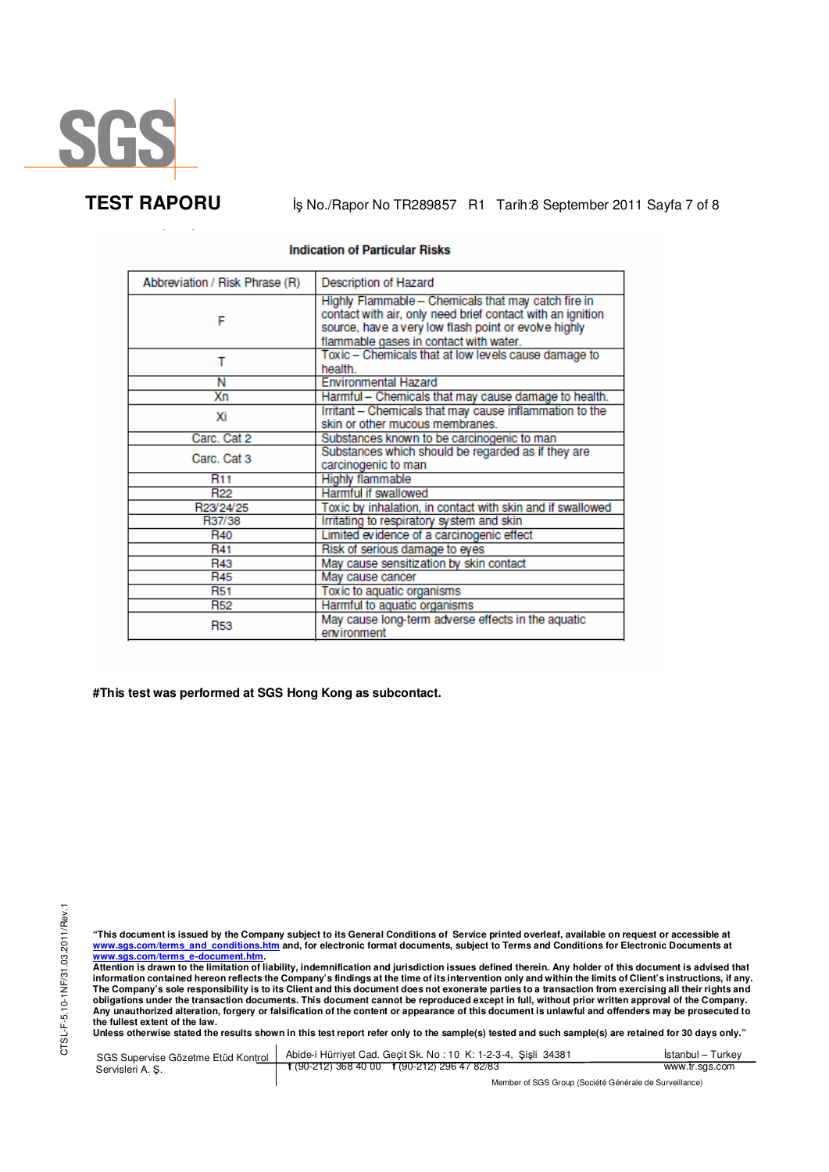

**TEST RAPORU** iş No./Rapor No TR289857 R1 Tarih:8 September 2011 Sayfa 7 of 8

### **Indication of Particular Risks**

| Abbreviation / Risk Phrase (R) | <b>Description of Hazard</b>                                                                                                                                                                                        |
|--------------------------------|---------------------------------------------------------------------------------------------------------------------------------------------------------------------------------------------------------------------|
| F                              | Highly Flammable - Chemicals that may catch fire in<br>contact with air, only need brief contact with an ignition<br>source, have a very low flash point or evolve highly<br>flammable gases in contact with water. |
| т                              | Toxic - Chemicals that at low levels cause damage to<br>health.                                                                                                                                                     |
| Ν                              | <b>Environmental Hazard</b>                                                                                                                                                                                         |
| Хn                             | Harmful - Chemicals that may cause damage to health.                                                                                                                                                                |
| Хi                             | Irritant - Chemicals that may cause inflammation to the<br>skin or other mucous membranes.                                                                                                                          |
| Carc. Cat 2                    | Substances known to be carcinogenic to man                                                                                                                                                                          |
| Carc. Cat 3                    | Substances which should be regarded as if they are<br>carcinogenic to man                                                                                                                                           |
| <b>R11</b>                     | <b>Highly flammable</b>                                                                                                                                                                                             |
| R <sub>22</sub>                | Harmful if swallowed                                                                                                                                                                                                |
| R23/24/25                      | Toxic by inhalation, in contact with skin and if swallowed                                                                                                                                                          |
| R37/38                         | Irritating to respiratory system and skin                                                                                                                                                                           |
| R <sub>40</sub>                | Limited evidence of a carcinogenic effect                                                                                                                                                                           |
| R41                            | Risk of serious damage to eyes                                                                                                                                                                                      |
| R43                            | May cause sensitization by skin contact                                                                                                                                                                             |
| <b>R45</b>                     | May cause cancer                                                                                                                                                                                                    |
| <b>R51</b>                     | Toxic to aquatic organisms                                                                                                                                                                                          |
| <b>R52</b>                     | Harmful to aquatic organisms                                                                                                                                                                                        |
| <b>R53</b>                     | May cause long-term adverse effects in the aquatic<br>environment                                                                                                                                                   |

**#This test was performed at SGS Hong Kong as subcontact.** 

"This document is issued by the Company subject to its General Conditions of Service printed overleaf, available on request or accessible at<br>www.sgs.com/terms\_and\_conditions.htm\_and, for electronic format documents, subjec

<u>www.sgs.com/terms\_e-document.htm.</u><br>Attention is drawn to the limitation of liability, indemnification and jurisdiction issues defined therein. Any holder of this document is advised that<br>information contained hereon refle obligations under the transaction documents. This document cannot be reproduced except in full, without prior written approval of the Company.<br>Any unauthorized alteration, forgery or falsification of the content or appeara

**Unless otherwise stated the results shown in this test report refer only to the sample(s) tested and such sample(s) are retained for 30 days only."** 

| SGS Supervise Gözetme Etüd Kontrol | Abide-i Hürriyet Cad. Gecit Sk. No: 10 K: 1-2-3-4, Sisli 34381       | Istanbul – Turkev |
|------------------------------------|----------------------------------------------------------------------|-------------------|
| Servisleri A. S.                   | $\frac{1}{2}$ (90-212) 368 40 00 $\frac{1}{2}$ (90-212) 296 47 82/83 | www.tr.sgs.com    |
|                                    | Member of SGS Group (Société Générale de Surveillance)               |                   |